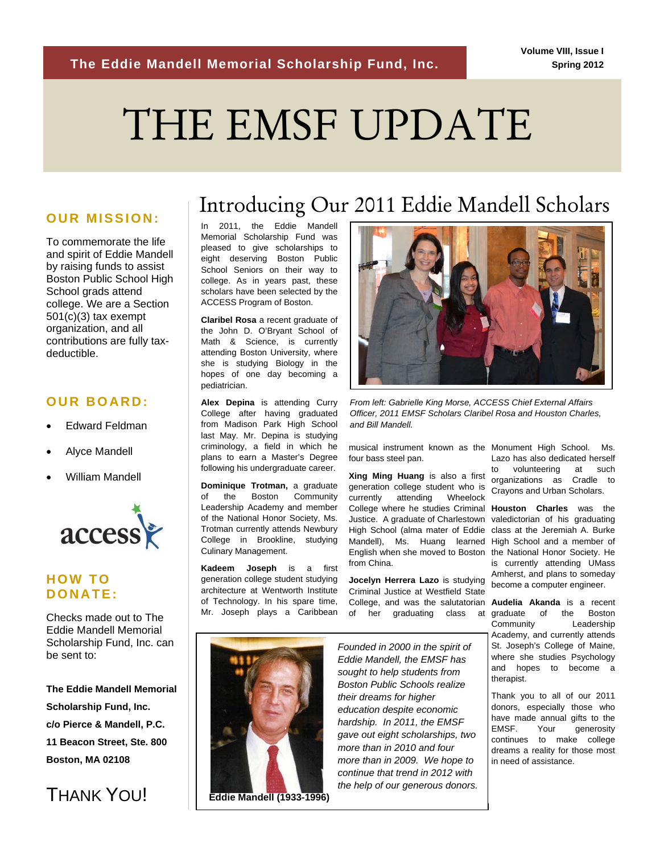# *2011 ACCESS Gala*  THE EMSF UPDATE

To commemorate the life and spirit of Eddie Mandell by raising funds to assist Boston Public School High School grads attend college. We are a Section  $501(c)(3)$  tax exempt organization, and all contributions are fully taxdeductible.

#### **OUR BOARD:**

- Edward Feldman
- Alyce Mandell
- William Mandell



### **HOW TO DONATE:**

Checks made out to The Eddie Mandell Memorial Scholarship Fund, Inc. can be sent to:

**The Eddie Mandell Memorial Scholarship Fund, Inc. c/o Pierce & Mandell, P.C. 11 Beacon Street, Ste. 800 Boston, MA 02108** 



## Introducing Our 2011 Eddie Mandell Scholars **OUR MISSION:**

In 2011, the Eddie Mandell Memorial Scholarship Fund was pleased to give scholarships to eight deserving Boston Public School Seniors on their way to college. As in years past, these scholars have been selected by the ACCESS Program of Boston.

**Claribel Rosa** a recent graduate of the John D. O'Bryant School of Math & Science, is currently attending Boston University, where she is studying Biology in the hopes of one day becoming a pediatrician.

**Alex Depina** is attending Curry College after having graduated from Madison Park High School last May. Mr. Depina is studying criminology, a field in which he plans to earn a Master's Degree following his undergraduate career.

**Dominique Trotman,** a graduate of the Boston Community Leadership Academy and member of the National Honor Society, Ms. Trotman currently attends Newbury College in Brookline, studying Culinary Management.

**Kadeem Joseph** is a first generation college student studying architecture at Wentworth Institute of Technology. In his spare time, Mr. Joseph plays a Caribbean



*From left: Gabrielle King Morse, ACCESS Chief External Affairs Officer, 2011 EMSF Scholars Claribel Rosa and Houston Charles, and Bill Mandell.* 

musical instrument known as the Monument High School. Ms. four bass steel pan.

**Xing Ming Huang** is also a first generation college student who is generation college student who is Crayons and Urban Scholars.<br>currently attending Wheelock College where he studies Criminal **Houston Charles** was the Justice. A graduate of Charlestown valedictorian of his graduating High School (alma mater of Eddie Mandell), Ms. Huang learned High School and a member of English when she moved to Boston from China.

**Jocelyn Herrera Lazo** is studying Criminal Justice at Westfield State College, and was the salutatorian **Audelia Akanda** is a recent of her graduating class at-graduate of the Boston

Lazo has also dedicated herself to volunteering at such organizations as Cradle to

class at the Jeremiah A. Burke the National Honor Society. He is currently attending UMass Amherst, and plans to someday become a computer engineer.

Community Leadership Academy, and currently attends St. Joseph's College of Maine, where she studies Psychology and hopes to become a therapist.

Thank you to all of our 2011 donors, especially those who have made annual gifts to the EMSF. Your generosity continues to make college dreams a reality for those most in need of assistance.



*Founded in 2000 in the spirit of Eddie Mandell, the EMSF has sought to help students from Boston Public Schools realize their dreams for higher education despite economic hardship. In 2011, the EMSF gave out eight scholarships, two more than in 2010 and four more than in 2009. We hope to continue that trend in 2012 with the help of our generous donors.*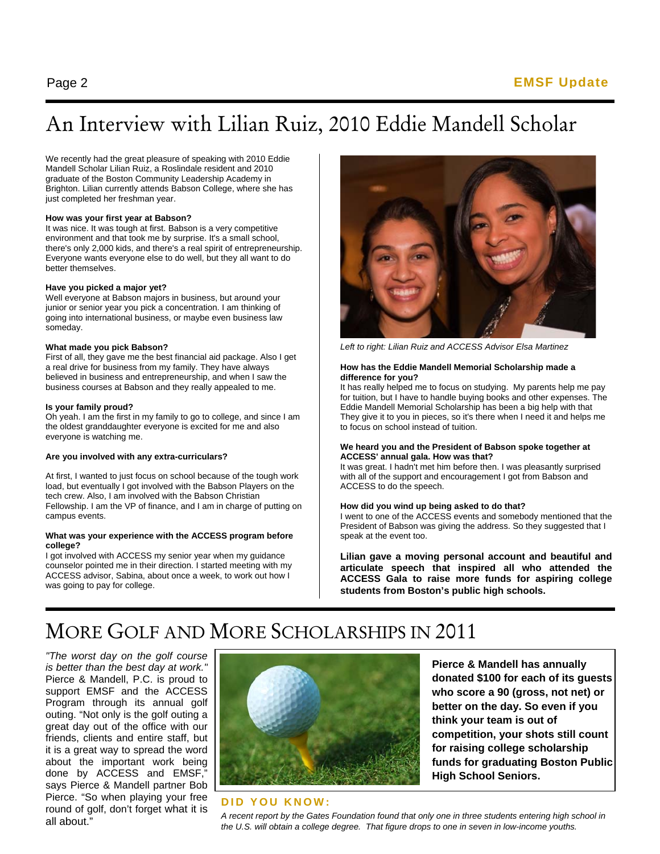### An Interview with Lilian Ruiz, 2010 Eddie Mandell Scholar

We recently had the great pleasure of speaking with 2010 Eddie Mandell Scholar Lilian Ruiz, a Roslindale resident and 2010 graduate of the Boston Community Leadership Academy in Brighton. Lilian currently attends Babson College, where she has just completed her freshman year.

#### **How was your first year at Babson?**

It was nice. It was tough at first. Babson is a very competitive environment and that took me by surprise. It's a small school, there's only 2,000 kids, and there's a real spirit of entrepreneurship. Everyone wants everyone else to do well, but they all want to do better themselves.

#### **Have you picked a major yet?**

Well everyone at Babson majors in business, but around your junior or senior year you pick a concentration. I am thinking of going into international business, or maybe even business law someday.

#### **What made you pick Babson?**

First of all, they gave me the best financial aid package. Also I get a real drive for business from my family. They have always believed in business and entrepreneurship, and when I saw the business courses at Babson and they really appealed to me.

#### **Is your family proud?**

Oh yeah. I am the first in my family to go to college, and since I am the oldest granddaughter everyone is excited for me and also everyone is watching me.

#### **Are you involved with any extra-curriculars?**

At first, I wanted to just focus on school because of the tough work load, but eventually I got involved with the Babson Players on the tech crew. Also, I am involved with the Babson Christian Fellowship. I am the VP of finance, and I am in charge of putting on campus events.

#### **What was your experience with the ACCESS program before college?**

I got involved with ACCESS my senior year when my guidance counselor pointed me in their direction. I started meeting with my ACCESS advisor, Sabina, about once a week, to work out how I was going to pay for college.



*Left to right: Lilian Ruiz and ACCESS Advisor Elsa Martinez* 

#### **How has the Eddie Mandell Memorial Scholarship made a difference for you?**

It has really helped me to focus on studying. My parents help me pay for tuition, but I have to handle buying books and other expenses. The Eddie Mandell Memorial Scholarship has been a big help with that They give it to you in pieces, so it's there when I need it and helps me to focus on school instead of tuition.

#### **We heard you and the President of Babson spoke together at ACCESS' annual gala. How was that?**

It was great. I hadn't met him before then. I was pleasantly surprised with all of the support and encouragement I got from Babson and ACCESS to do the speech.

#### **How did you wind up being asked to do that?**

I went to one of the ACCESS events and somebody mentioned that the President of Babson was giving the address. So they suggested that I speak at the event too.

**Lilian gave a moving personal account and beautiful and articulate speech that inspired all who attended the ACCESS Gala to raise more funds for aspiring college students from Boston's public high schools.**

### MORE GOLF AND MORE SCHOLARSHIPS IN 2011

*"The worst day on the golf course is better than the best day at work."* Pierce & Mandell, P.C. is proud to support EMSF and the ACCESS Program through its annual golf outing. "Not only is the golf outing a great day out of the office with our friends, clients and entire staff, but it is a great way to spread the word about the important work being done by ACCESS and EMSF," says Pierce & Mandell partner Bob Pierce. "So when playing your free round of golf, don't forget what it is all about."



**Pierce & Mandell has annually donated \$100 for each of its guests who score a 90 (gross, not net) or better on the day. So even if you think your team is out of competition, your shots still count for raising college scholarship funds for graduating Boston Public High School Seniors.** 

#### **DID YOU KNOW:**

*A recent report by the Gates Foundation found that only one in three students entering high school in the U.S. will obtain a college degree. That figure drops to one in seven in low-income youths.*